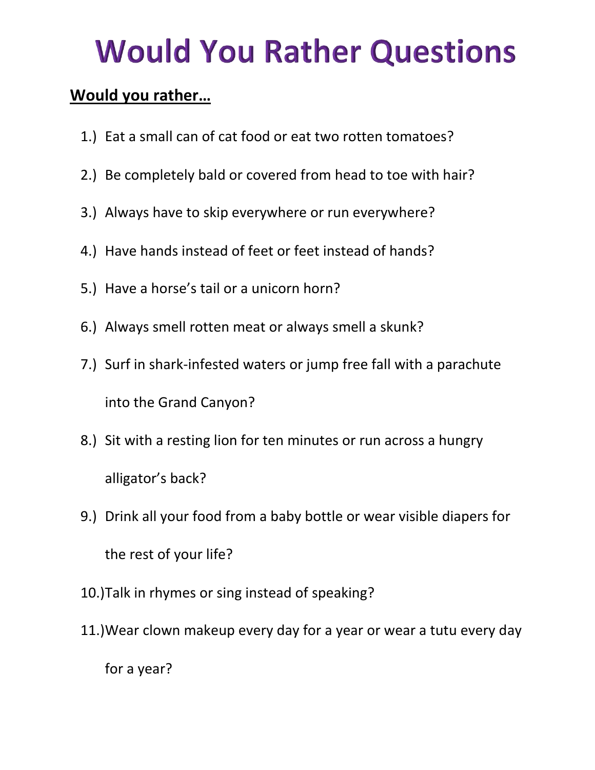## **Would You Rather Questions**

## **Would you rather…**

- 1.) Eat a small can of cat food or eat two rotten tomatoes?
- 2.) Be completely bald or covered from head to toe with hair?
- 3.) Always have to skip everywhere or run everywhere?
- 4.) Have hands instead of feet or feet instead of hands?
- 5.) Have a horse's tail or a unicorn horn?
- 6.) Always smell rotten meat or always smell a skunk?
- 7.) Surf in shark-infested waters or jump free fall with a parachute into the Grand Canyon?
- 8.) Sit with a resting lion for ten minutes or run across a hungry alligator's back?
- 9.) Drink all your food from a baby bottle or wear visible diapers for the rest of your life?
- 10.)Talk in rhymes or sing instead of speaking?
- 11.)Wear clown makeup every day for a year or wear a tutu every day for a year?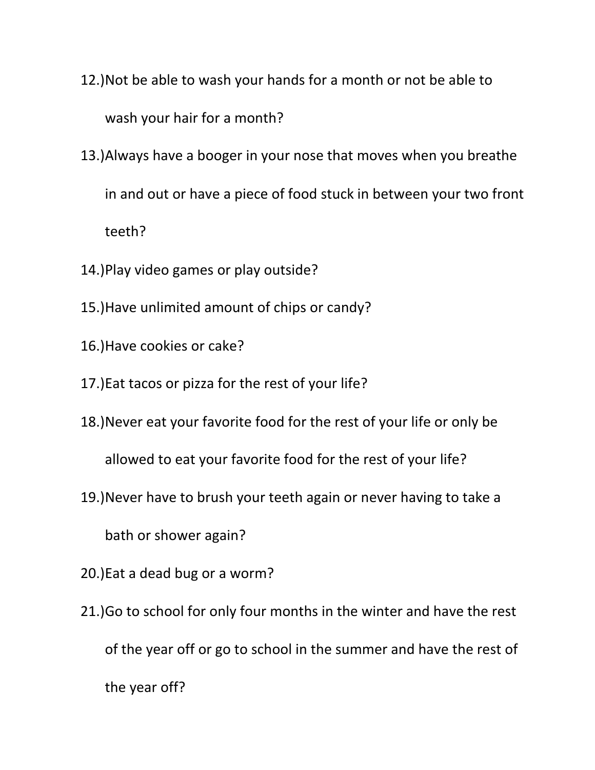- 12.)Not be able to wash your hands for a month or not be able to wash your hair for a month?
- 13.)Always have a booger in your nose that moves when you breathe in and out or have a piece of food stuck in between your two front teeth?
- 14.)Play video games or play outside?
- 15.)Have unlimited amount of chips or candy?
- 16.)Have cookies or cake?
- 17.)Eat tacos or pizza for the rest of your life?
- 18.)Never eat your favorite food for the rest of your life or only be

allowed to eat your favorite food for the rest of your life?

19.)Never have to brush your teeth again or never having to take a

bath or shower again?

- 20.)Eat a dead bug or a worm?
- 21.)Go to school for only four months in the winter and have the rest of the year off or go to school in the summer and have the rest of the year off?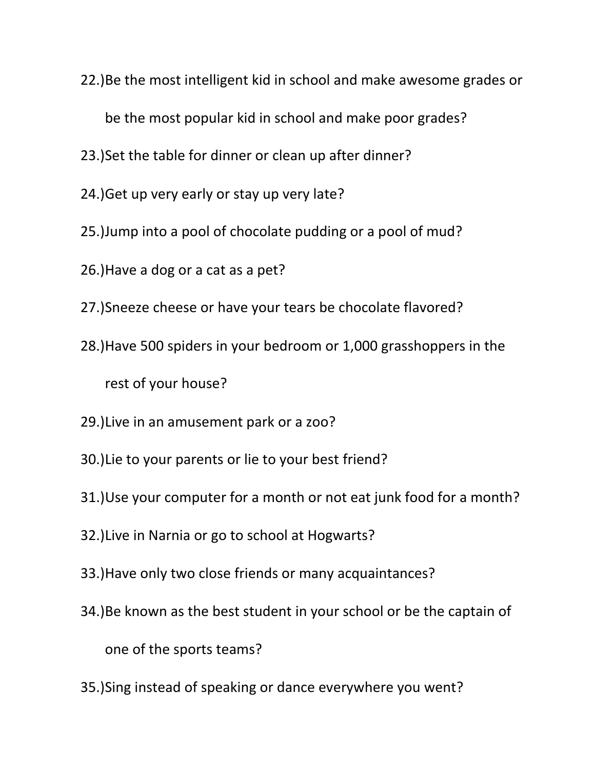22.)Be the most intelligent kid in school and make awesome grades or

be the most popular kid in school and make poor grades?

- 23.)Set the table for dinner or clean up after dinner?
- 24.)Get up very early or stay up very late?
- 25.)Jump into a pool of chocolate pudding or a pool of mud?
- 26.)Have a dog or a cat as a pet?
- 27.)Sneeze cheese or have your tears be chocolate flavored?
- 28.)Have 500 spiders in your bedroom or 1,000 grasshoppers in the rest of your house?
- 29.)Live in an amusement park or a zoo?
- 30.)Lie to your parents or lie to your best friend?
- 31.)Use your computer for a month or not eat junk food for a month?
- 32.)Live in Narnia or go to school at Hogwarts?
- 33.)Have only two close friends or many acquaintances?
- 34.)Be known as the best student in your school or be the captain of one of the sports teams?
- 35.)Sing instead of speaking or dance everywhere you went?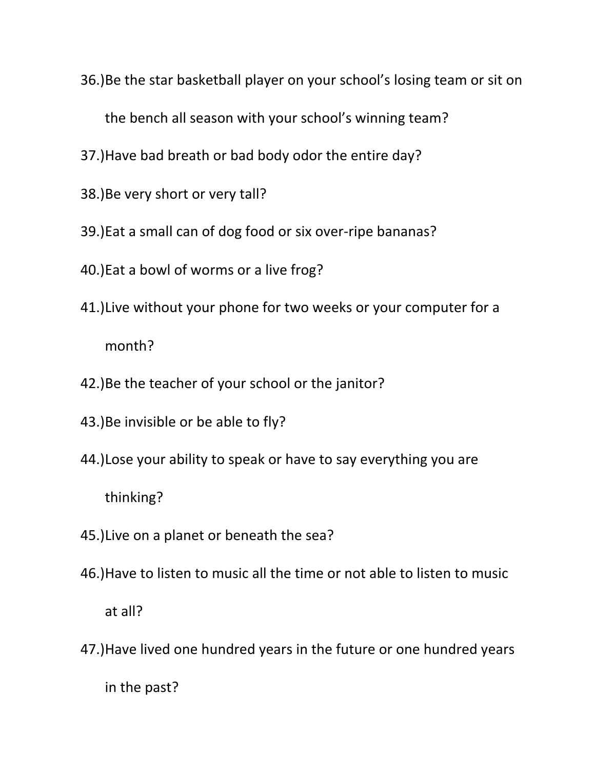36.)Be the star basketball player on your school's losing team or sit on

the bench all season with your school's winning team?

- 37.)Have bad breath or bad body odor the entire day?
- 38.)Be very short or very tall?
- 39.)Eat a small can of dog food or six over-ripe bananas?
- 40.)Eat a bowl of worms or a live frog?
- 41.)Live without your phone for two weeks or your computer for a month?
- 42.)Be the teacher of your school or the janitor?
- 43.)Be invisible or be able to fly?
- 44.)Lose your ability to speak or have to say everything you are

thinking?

- 45.)Live on a planet or beneath the sea?
- 46.)Have to listen to music all the time or not able to listen to music at all?
- 47.)Have lived one hundred years in the future or one hundred years in the past?